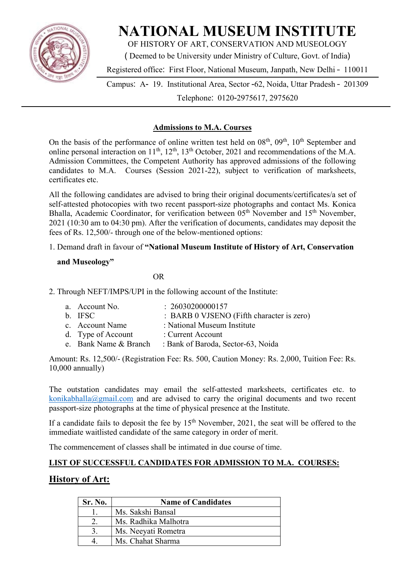

# **NATIONAL MUSEUM INSTITUTE**

OF HISTORY OF ART, CONSERVATION AND MUSEOLOGY

( Deemed to be University under Ministry of Culture, Govt. of India)

Registered office: First Floor, National Museum, Janpath, New Delhi – 110011

Campus: A- 19. Institutional Area, Sector -62, Noida, Uttar Pradesh – 201309 Telephone: 0120-2975617, 2975620

#### **Admissions to M.A. Courses**

On the basis of the performance of online written test held on 08<sup>th</sup>, 09<sup>th</sup>, 10<sup>th</sup> September and online personal interaction on  $11^{th}$ ,  $12^{th}$ ,  $13^{th}$  October, 2021 and recommendations of the M.A. Admission Committees, the Competent Authority has approved admissions of the following candidates to M.A. Courses (Session 2021-22), subject to verification of marksheets, certificates etc.

All the following candidates are advised to bring their original documents/certificates/a set of self-attested photocopies with two recent passport-size photographs and contact Ms. Konica Bhalla, Academic Coordinator, for verification between 05<sup>th</sup> November and 15<sup>th</sup> November, 2021 (10:30 am to 04:30 pm). After the verification of documents, candidates may deposit the fees of Rs. 12,500/- through one of the below-mentioned options:

#### 1. Demand draft in favour of **"National Museum Institute of History of Art, Conservation**

#### **and Museology"**

**OR** 

2. Through NEFT/IMPS/UPI in the following account of the Institute:

| a. Account No.        | : 26030200000157                          |
|-----------------------|-------------------------------------------|
| b. IFSC               | : BARB 0 VJSENO (Fifth character is zero) |
| c. Account Name       | : National Museum Institute               |
| d. Type of Account    | : Current Account                         |
| e. Bank Name & Branch | : Bank of Baroda, Sector-63, Noida        |

Amount: Rs. 12,500/- (Registration Fee: Rs. 500, Caution Money: Rs. 2,000, Tuition Fee: Rs. 10,000 annually)

The outstation candidates may email the self-attested marksheets, certificates etc. to konikabhalla@gmail.com and are advised to carry the original documents and two recent passport-size photographs at the time of physical presence at the Institute.

If a candidate fails to deposit the fee by  $15<sup>th</sup>$  November, 2021, the seat will be offered to the immediate waitlisted candidate of the same category in order of merit.

The commencement of classes shall be intimated in due course of time.

#### **LIST OF SUCCESSFUL CANDIDATES FOR ADMISSION TO M.A. COURSES:**

### **History of Art:**

| Sr. No. | <b>Name of Candidates</b> |
|---------|---------------------------|
|         | Ms. Sakshi Bansal         |
|         | Ms. Radhika Malhotra      |
|         | Ms. Neeyati Rometra       |
|         | Ms. Chahat Sharma         |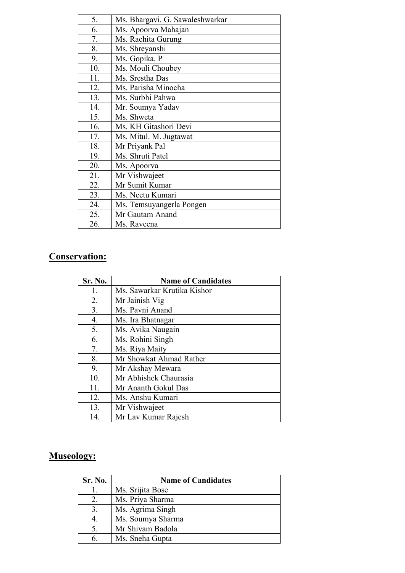| Ms. Bhargavi. G. Sawaleshwarkar |
|---------------------------------|
| Ms. Apoorva Mahajan             |
| Ms. Rachita Gurung              |
| Ms. Shreyanshi                  |
| Ms. Gopika. P                   |
| Ms. Mouli Choubey               |
| Ms. Srestha Das                 |
| Ms. Parisha Minocha             |
| Ms. Surbhi Pahwa                |
| Mr. Soumya Yadav                |
| Ms. Shweta                      |
| Ms. KH Gitashori Devi           |
| Ms. Mitul. M. Jugtawat          |
| Mr Priyank Pal                  |
| Ms. Shruti Patel                |
| Ms. Apoorva                     |
| Mr Vishwajeet                   |
| Mr Sumit Kumar                  |
| Ms. Neetu Kumari                |
| Ms. Temsuyangerla Pongen        |
| Mr Gautam Anand                 |
| Ms. Raveena                     |
|                                 |

## **Conservation:**

| Sr. No.          | <b>Name of Candidates</b>   |
|------------------|-----------------------------|
| 1.               | Ms. Sawarkar Krutika Kishor |
| 2.               | Mr Jainish Vig              |
| 3 <sub>1</sub>   | Ms. Pavni Anand             |
| $\overline{4}$ . | Ms. Ira Bhatnagar           |
| 5.               | Ms. Avika Naugain           |
| 6.               | Ms. Rohini Singh            |
| 7.               | Ms. Riya Maity              |
| 8.               | Mr Showkat Ahmad Rather     |
| 9.               | Mr Akshay Mewara            |
| 10.              | Mr Abhishek Chaurasia       |
| 11.              | Mr Ananth Gokul Das         |
| 12.              | Ms. Anshu Kumari            |
| 13.              | Mr Vishwajeet               |
| 14.              | Mr Lav Kumar Rajesh         |

## **Museology:**

| Sr. No. | <b>Name of Candidates</b> |
|---------|---------------------------|
|         | Ms. Srijita Bose          |
| 2.      | Ms. Priya Sharma          |
|         | Ms. Agrima Singh          |
|         | Ms. Soumya Sharma         |
|         | Mr Shivam Badola          |
| 6       | Ms. Sneha Gupta           |